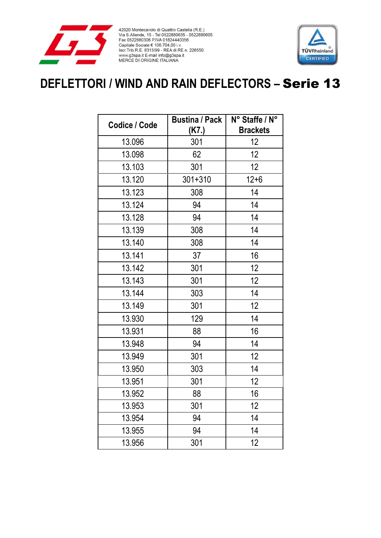

42020 Montecavolo di Quattro Castella (R.E.)<br>Via S.Allende, 15 - Tel 0522880635 - 0522880605<br>Fax 0522880306 P.IVA 01824440356 Pax 0522600300 P.IVA 01624440356<br>
Capitale Sociale € 106.704,00 i.v.<br>
Iscr.Trib.R.E. 8313/99 - REA di RE n. 226550.<br>
www.g3spa.it E-mail info@g3spa.it<br>
MERCE DI ORIGINE ITALIANA



## **DEFLETTORI / WIND AND RAIN DEFLECTORS –** Serie 13

| Codice / Code | <b>Bustina / Pack</b><br>(K7.) | N° Staffe / N°<br><b>Brackets</b> |
|---------------|--------------------------------|-----------------------------------|
| 13.096        | 301                            | 12                                |
| 13.098        | 62                             | 12                                |
| 13.103        | 301                            | 12 <sub>2</sub>                   |
| 13.120        | $301 + 310$                    | $12 + 6$                          |
| 13.123        | 308                            | 14                                |
| 13.124        | 94                             | 14                                |
| 13.128        | 94                             | 14                                |
| 13.139        | 308                            | 14                                |
| 13.140        | 308                            | 14                                |
| 13.141        | 37                             | 16                                |
| 13.142        | 301                            | 12                                |
| 13.143        | 301                            | 12                                |
| 13.144        | 303                            | 14                                |
| 13.149        | 301                            | 12                                |
| 13.930        | 129                            | 14                                |
| 13.931        | 88                             | 16                                |
| 13.948        | 94                             | 14                                |
| 13.949        | 301                            | 12                                |
| 13.950        | 303                            | 14                                |
| 13.951        | 301                            | 12                                |
| 13.952        | 88                             | 16                                |
| 13.953        | 301                            | 12                                |
| 13.954        | 94                             | 14                                |
| 13.955        | 94                             | 14                                |
| 13.956        | 301                            | 12                                |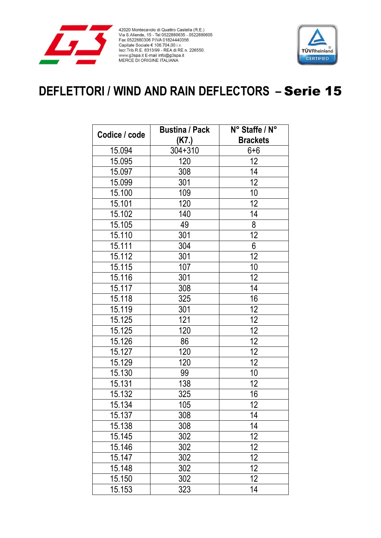

42020 Montecavolo di Quattro Castella (R.E.)<br>Via S.Allende, 15 - Tel 0522880635 - 0522880605<br>Fax 0522880306 P.IVA 01824440356 Pax 0522600300 P.IVA 01624440356<br>
Capitale Sociale € 106.704,00 i.v.<br>
Iscr.Trib.R.E. 8313/99 - REA di RE n. 226550.<br>
www.g3spa.it E-mail info@g3spa.it<br>
MERCE DI ORIGINE ITALIANA



## **DEFLETTORI / WIND AND RAIN DEFLECTORS –** Serie 15

|               | <b>Bustina / Pack</b> | N° Staffe / N°  |
|---------------|-----------------------|-----------------|
| Codice / code | (K7.)                 | <b>Brackets</b> |
| 15.094        | $304 + 310$           | $6 + 6$         |
| 15.095        | $\overline{1}20$      | 12              |
| 15.097        | 308                   | 14              |
| 15.099        | 301                   | 12              |
| 15.100        | 109                   | 10              |
| 15.101        | 120                   | 12              |
| 15.102        | 140                   | 14              |
| 15.105        | 49                    | 8               |
| 15.110        | 301                   | $\overline{12}$ |
| 15.111        | 304                   | 6               |
| 15.112        | 301                   | $\overline{12}$ |
| 15.115        | 107                   | 10              |
| 15.116        | 301                   | 12              |
| 15.117        | 308                   | 14              |
| 15.118        | 325                   | 16              |
| 15.119        | 301                   | 12              |
| 15.125        | 121                   | 12              |
| 15.125        | 120                   | 12              |
| 15.126        | 86                    | 12              |
| 15.127        | 120                   | 12              |
| 15.129        | 120                   | $\overline{12}$ |
| 15.130        | 99                    | 10              |
| 15.131        | 138                   | 12              |
| 15.132        | 325                   | 16              |
| 15.134        | 105                   | 12              |
| 15.137        | 308                   | 14              |
| 15.138        | 308                   | 14              |
| 15.145        | 302                   | 12              |
| 15.146        | 302                   | 12              |
| 15.147        | 302                   | 12              |
| 15.148        | 302                   | 12              |
| 15.150        | 302                   | 12              |
| 15.153        | 323                   | 14              |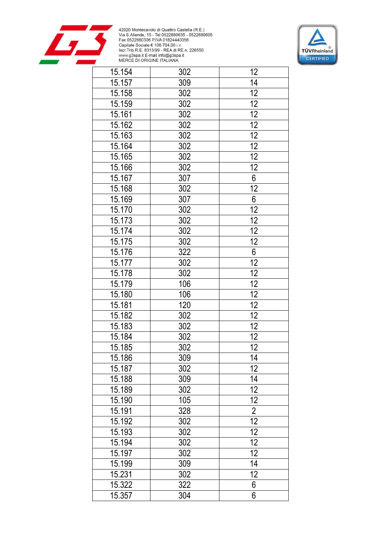



| 15.154 | 302 | 12              |
|--------|-----|-----------------|
| 15.157 | 309 | 14              |
| 15.158 | 302 | 12              |
| 15.159 | 302 | 12              |
| 15.161 | 302 | 12              |
| 15.162 | 302 | 12              |
| 15.163 | 302 | 12              |
| 15.164 | 302 | 12              |
| 15.165 | 302 | $\overline{12}$ |
| 15.166 | 302 | 12              |
| 15.167 | 307 | 6               |
| 15.168 | 302 | $\overline{12}$ |
| 15.169 | 307 | 6               |
| 15.170 | 302 | $\overline{12}$ |
| 15.173 | 302 | 12              |
| 15.174 | 302 | 12              |
| 15.175 | 302 | 12              |
| 15.176 | 322 | $6\phantom{a}$  |
| 15.177 | 302 | $\overline{12}$ |
| 15.178 | 302 | 12              |
| 15.179 | 106 | $\overline{12}$ |
| 15.180 | 106 | $\overline{12}$ |
| 15.181 | 120 | $\overline{12}$ |
| 15.182 | 302 | 12              |
| 15.183 | 302 | 12              |
| 15.184 | 302 | 12              |
| 15.185 | 302 | 12              |
| 15.186 | 309 | 14              |
| 15.187 | 302 | 12              |
| 15.188 | 309 | 14              |
| 15.189 | 302 | $\overline{12}$ |
| 15.190 | 105 | 12              |
| 15.191 | 328 | $\overline{2}$  |
| 15.192 | 302 | $\overline{12}$ |
| 15.193 | 302 | 12              |
| 15.194 | 302 | 12              |
| 15.197 | 302 | 12 <sub>2</sub> |
| 15.199 | 309 | 14              |
| 15.231 | 302 | 12              |
| 15.322 | 322 | 6               |
| 15.357 | 304 | 6               |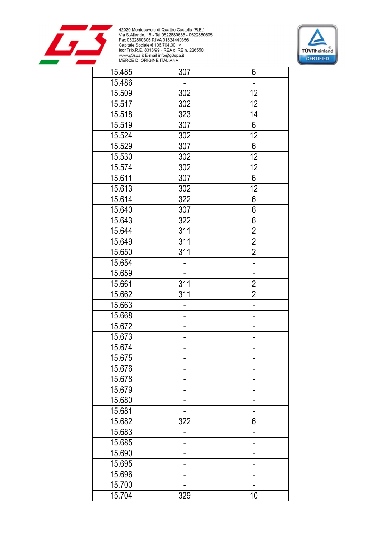



| 15.485 | 307              | 6                        |
|--------|------------------|--------------------------|
| 15.486 |                  |                          |
| 15.509 | 302              | 12                       |
| 15.517 | 302              | 12                       |
| 15.518 | 323              | 14                       |
| 15.519 | 307              | 6                        |
| 15.524 | 302              | 12                       |
| 15.529 | 307              | 6                        |
| 15.530 | 302              | $\overline{12}$          |
| 15.574 | 302              | 12                       |
| 15.611 | 307              | 6                        |
| 15.613 | 302              | $\overline{12}$          |
| 15.614 | 322              | 6                        |
| 15.640 | 307              | 6                        |
| 15.643 | 322              | 6                        |
| 15.644 | 311              | $\overline{2}$           |
| 15.649 | 311              | $\overline{2}$           |
| 15.650 | 311              | $\overline{2}$           |
| 15.654 |                  |                          |
| 15.659 |                  | $\overline{\phantom{a}}$ |
| 15.661 | $\overline{311}$ | $\frac{2}{2}$            |
| 15.662 | 311              |                          |
| 15.663 |                  |                          |
| 15.668 | -                |                          |
| 15.672 |                  |                          |
| 15.673 | -                |                          |
| 15.674 |                  |                          |
| 15.675 |                  |                          |
| 15.676 |                  |                          |
| 15.678 |                  |                          |
| 15.679 |                  |                          |
| 15.680 |                  |                          |
| 15.681 |                  |                          |
| 15.682 | 322              | 6                        |
| 15.683 |                  |                          |
| 15.685 |                  |                          |
| 15.690 |                  |                          |
| 15.695 |                  |                          |
| 15.696 |                  |                          |
| 15.700 |                  |                          |
| 15.704 | 329              | 10                       |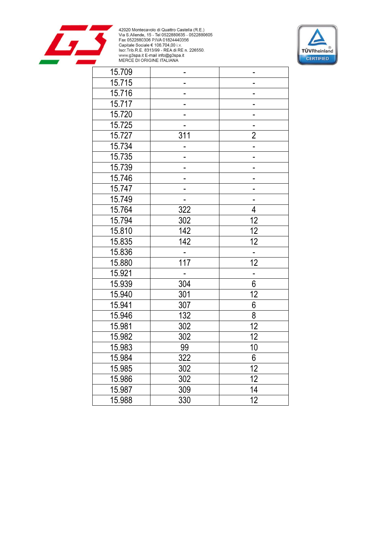



| 15.709 |     |                  |
|--------|-----|------------------|
| 15.715 |     |                  |
| 15.716 |     |                  |
| 15.717 |     |                  |
| 15.720 |     |                  |
| 15.725 |     |                  |
| 15.727 | 311 | $\overline{2}$   |
| 15.734 |     |                  |
| 15.735 |     |                  |
| 15.739 |     |                  |
| 15.746 |     |                  |
| 15.747 |     |                  |
| 15.749 |     |                  |
| 15.764 | 322 | $\overline{4}$   |
| 15.794 | 302 | 12               |
| 15.810 | 142 | 12               |
| 15.835 | 142 | 12               |
| 15.836 |     |                  |
| 15.880 | 117 | $\overline{12}$  |
| 15.921 |     |                  |
| 15.939 | 304 | $\overline{6}$   |
| 15.940 | 301 | 12               |
| 15.941 | 307 | $\boldsymbol{6}$ |
| 15.946 | 132 | 8                |
| 15.981 | 302 | 12               |
| 15.982 | 302 | 12               |
| 15.983 | 99  | 10               |
| 15.984 | 322 | 6                |
| 15.985 | 302 | 12               |
| 15.986 | 302 | 12               |
| 15.987 | 309 | 14               |
| 15.988 | 330 | 12               |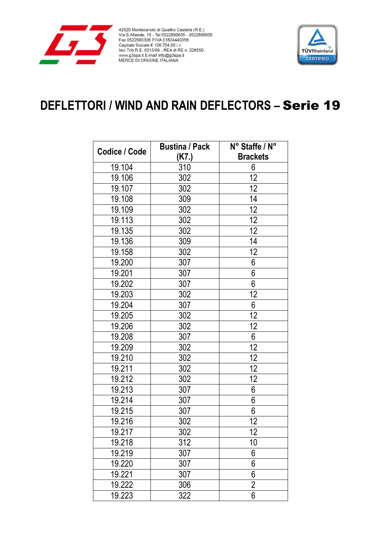

42020 Montecavolo di Quattro Castella (R.E.)<br>Via S.Allende, 15 - Tel 0522880635 - 0522880605<br>Fax 0522880306 P.IVA 01824440356 Pax 0522600300 P.IVA 01624440356<br>
Capitale Sociale € 106.704,00 i.v.<br>
Iscr.Trib.R.E. 8313/99 - REA di RE n. 226550.<br>
www.g3spa.it E-mail info@g3spa.it<br>
MERCE DI ORIGINE ITALIANA



## **DEFLETTORI / WIND AND RAIN DEFLECTORS - Serie 19**

|               | <b>Bustina / Pack</b> | N° Staffe / N°  |
|---------------|-----------------------|-----------------|
| Codice / Code | (K7.)                 | <b>Brackets</b> |
| 19.104        | 310                   | 6               |
| 19.106        | 302                   | 12              |
| 19.107        | 302                   | 12              |
| 19.108        | 309                   | 14              |
| 19.109        | 302                   | 12              |
| 19.113        | 302                   | 12              |
| 19.135        | 302                   | 12              |
| 19.136        | 309                   | 14              |
| 19.158        | 302                   | 12              |
| 19.200        | 307                   | 6               |
| 19.201        | 307                   | 6               |
| 19.202        | 307                   | 6               |
| 19.203        | 302                   | 12              |
| 19.204        | 307                   | 6               |
| 19.205        | 302                   | 12              |
| 19.206        | 302                   | 12              |
| 19.208        | 307                   | 6               |
| 19.209        | 302                   | 12              |
| 19.210        | 302                   | 12              |
| 19.211        | 302                   | 12              |
| 19.212        | 302                   | 12              |
| 19.213        | 307                   | 6               |
| 19.214        | 307                   | 6               |
| 19.215        | 307                   | 6               |
| 19.216        | 302                   | 12              |
| 19.217        | 302                   | 12              |
| 19.218        | 312                   | 10              |
| 19.219        | 307                   | 6               |
| 19.220        | 307                   | 6               |
| 19.221        | 307                   | 6               |
| 19.222        | 306                   | $\overline{2}$  |
| 19.223        | 322                   | 6               |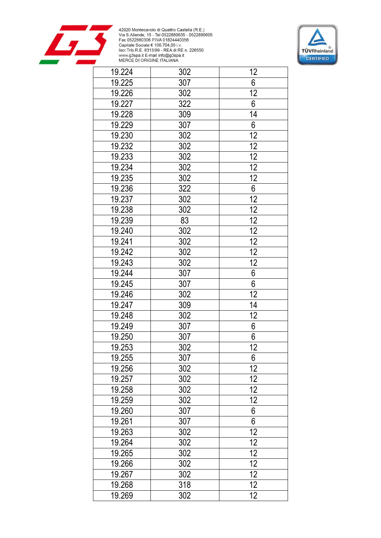



| 19.224 | 302 | 12              |
|--------|-----|-----------------|
| 19.225 | 307 | 6               |
| 19.226 | 302 | $\overline{12}$ |
| 19.227 | 322 | 6               |
| 19.228 | 309 | 14              |
| 19.229 | 307 | $6\phantom{a}$  |
| 19.230 | 302 | 12              |
| 19.232 | 302 | 12              |
| 19.233 | 302 | 12              |
| 19.234 | 302 | $\overline{12}$ |
| 19.235 | 302 | $\overline{12}$ |
| 19.236 | 322 | $\overline{6}$  |
| 19.237 | 302 | $\overline{12}$ |
| 19.238 | 302 | 12              |
| 19.239 | 83  | $\overline{12}$ |
| 19.240 | 302 | $\overline{12}$ |
| 19.241 | 302 | $\overline{12}$ |
| 19.242 | 302 | $\overline{12}$ |
| 19.243 | 302 | $\overline{12}$ |
| 19.244 | 307 | $6\overline{}$  |
| 19.245 | 307 | $\overline{6}$  |
| 19.246 | 302 | 12              |
| 19.247 | 309 | 14              |
| 19.248 | 302 | 12              |
| 19.249 | 307 | $6\phantom{a}$  |
| 19.250 | 307 | $\overline{6}$  |
| 19.253 | 302 | 12              |
| 19.255 | 307 | 6               |
| 19.256 | 302 | 12              |
| 19.257 | 302 | 12              |
| 19.258 | 302 | $\overline{12}$ |
| 19.259 | 302 | 12              |
| 19.260 | 307 | $\overline{6}$  |
| 19.261 | 307 | 6               |
| 19.263 | 302 | 12              |
| 19.264 | 302 | 12              |
| 19.265 | 302 | 12              |
| 19.266 | 302 | 12              |
| 19.267 | 302 | 12              |
| 19.268 | 318 | 12              |
| 19.269 | 302 | 12              |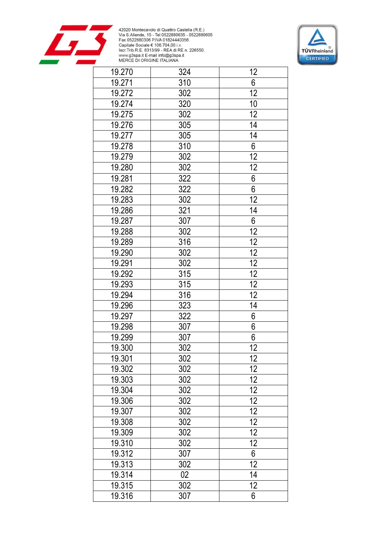



| 19.270 | 324    | 12              |
|--------|--------|-----------------|
| 19.271 | 310    | 6               |
| 19.272 | 302    | $\overline{12}$ |
| 19.274 | 320    | 10              |
| 19.275 | 302    | 12              |
| 19.276 | 305    | 14              |
| 19.277 | 305    | 14              |
| 19.278 | 310    | $\overline{6}$  |
| 19.279 | 302    | $\overline{12}$ |
| 19.280 | 302    | 12              |
| 19.281 | 322    | $\frac{6}{6}$   |
| 19.282 | 322    |                 |
| 19.283 | 302    | 12              |
| 19.286 | 321    | 14              |
| 19.287 | 307    | $\overline{6}$  |
| 19.288 | 302    | $\overline{12}$ |
| 19.289 | 316    | $\overline{12}$ |
| 19.290 | 302    | $\overline{12}$ |
| 19.291 | 302    | $\overline{12}$ |
| 19.292 | 315    | $\overline{12}$ |
| 19.293 | 315    | $\overline{12}$ |
| 19.294 | 316    | $\overline{12}$ |
| 19.296 | 323    | 14              |
| 19.297 | 322    | 6               |
| 19.298 | 307    | $\overline{6}$  |
| 19.299 | 307    | 6               |
| 19.300 | 302    | 12              |
| 19.301 | 302    | 12              |
| 19.302 | 302    | 12              |
| 19.303 | 302    | $\overline{12}$ |
| 19.304 | 302    | $\overline{12}$ |
| 19.306 | 302    | 12              |
| 19.307 | 302    | $\overline{12}$ |
| 19.308 | 302    | 12              |
| 19.309 | 302    | 12              |
| 19.310 | 302    | $\overline{12}$ |
| 19.312 | 307    | 6               |
| 19.313 | 302    | $\overline{12}$ |
| 19.314 | $02\,$ | 14              |
| 19.315 | 302    | 12              |
| 19.316 | 307    | 6               |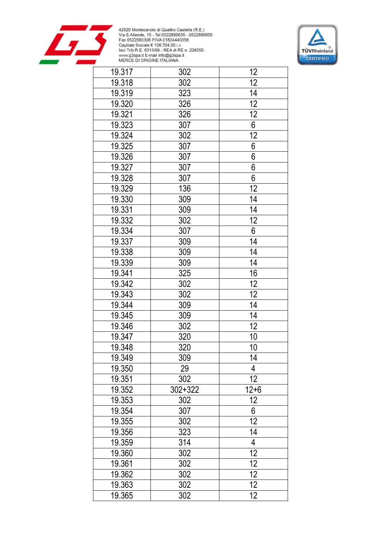



| 19.317 | 302     | 12              |
|--------|---------|-----------------|
| 19.318 | 302     | 12              |
| 19.319 | 323     | 14              |
| 19.320 | 326     | 12              |
| 19.321 | 326     | 12              |
| 19.323 | 307     | 6               |
| 19.324 | 302     | 12              |
| 19.325 | 307     | 6               |
| 19.326 | 307     | $\overline{6}$  |
| 19.327 | 307     | $\overline{6}$  |
| 19.328 | 307     | $\overline{6}$  |
| 19.329 | 136     | $\overline{12}$ |
| 19.330 | 309     | 14              |
| 19.331 | 309     | 14              |
| 19.332 | 302     | 12              |
| 19.334 | 307     | 6               |
| 19.337 | 309     | 14              |
| 19.338 | 309     | 14              |
| 19.339 | 309     | 14              |
| 19.341 | 325     | 16              |
| 19.342 | 302     | 12              |
| 19.343 | 302     | $\overline{12}$ |
| 19.344 | 309     | 14              |
| 19.345 | 309     | 14              |
| 19.346 | 302     | 12              |
| 19.347 | 320     | 10              |
| 19.348 | 320     | 10              |
| 19.349 | 309     | 14              |
| 19.350 | 29      | 4               |
| 19.351 | 302     | $\overline{12}$ |
| 19.352 | 302+322 | $12 + 6$        |
| 19.353 | 302     | 12              |
| 19.354 | 307     | $\overline{6}$  |
| 19.355 | 302     | $\overline{12}$ |
| 19.356 | 323     | 14              |
| 19.359 | 314     | 4               |
| 19.360 | 302     | 12              |
| 19.361 | 302     | 12              |
| 19.362 | 302     | 12              |
| 19.363 | 302     | 12              |
| 19.365 | 302     | 12 <sub>2</sub> |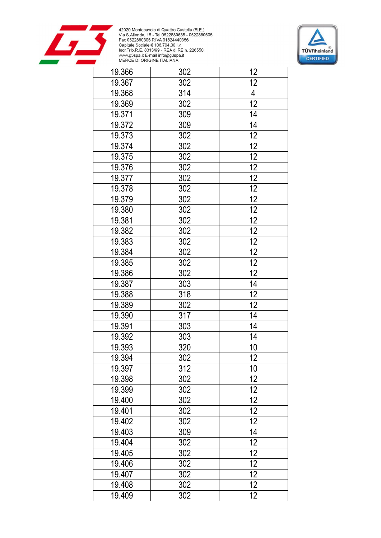



| 19.366 | 302 | 12              |
|--------|-----|-----------------|
| 19.367 | 302 | 12              |
| 19.368 | 314 | $\overline{4}$  |
| 19.369 | 302 | $\overline{12}$ |
| 19.371 | 309 | 14              |
| 19.372 | 309 | 14              |
| 19.373 | 302 | 12              |
| 19.374 | 302 | 12              |
| 19.375 | 302 | $\overline{12}$ |
| 19.376 | 302 | $\overline{12}$ |
| 19.377 | 302 | $\overline{12}$ |
| 19.378 | 302 | $\overline{12}$ |
| 19.379 | 302 | 12              |
| 19.380 | 302 | 12              |
| 19.381 | 302 | $\overline{12}$ |
| 19.382 | 302 | $\overline{12}$ |
| 19.383 | 302 | $\overline{12}$ |
| 19.384 | 302 | 12              |
| 19.385 | 302 | $\overline{12}$ |
| 19.386 | 302 | $\overline{12}$ |
| 19.387 | 303 | $\overline{14}$ |
| 19.388 | 318 | 12              |
| 19.389 | 302 | $\overline{12}$ |
| 19.390 | 317 | 14              |
| 19.391 | 303 | 14              |
| 19.392 | 303 | 14              |
| 19.393 | 320 | 10              |
| 19.394 | 302 | 12              |
| 19.397 | 312 | 10              |
| 19.398 | 302 | 12              |
| 19.399 | 302 | $\overline{12}$ |
| 19.400 | 302 | 12              |
| 19.401 | 302 | $\overline{12}$ |
| 19.402 | 302 | $\overline{12}$ |
| 19.403 | 309 | 14              |
| 19.404 | 302 | 12              |
| 19.405 | 302 | 12              |
| 19.406 | 302 | 12              |
| 19.407 | 302 | 12              |
| 19.408 | 302 | 12              |
| 19.409 | 302 | 12              |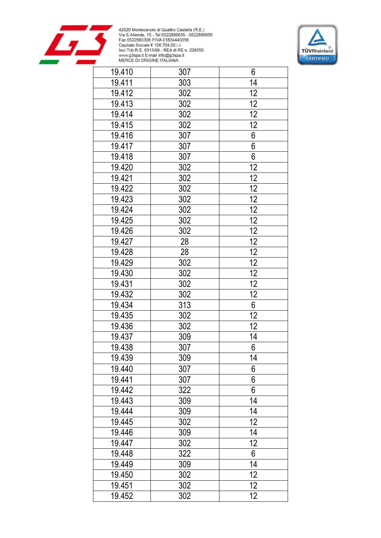



| 19.410 | 307 | 6               |
|--------|-----|-----------------|
| 19.411 | 303 | 14              |
| 19.412 | 302 | 12              |
| 19.413 | 302 | 12              |
| 19.414 | 302 | 12              |
| 19.415 | 302 | 12              |
| 19.416 | 307 | $\overline{6}$  |
| 19.417 | 307 | $\overline{6}$  |
| 19.418 | 307 | $\overline{6}$  |
| 19.420 | 302 | $\overline{12}$ |
| 19.421 | 302 | $\overline{12}$ |
| 19.422 | 302 | 12              |
| 19.423 | 302 | 12              |
| 19.424 | 302 | 12              |
| 19.425 | 302 | $\overline{12}$ |
| 19.426 | 302 | $\overline{12}$ |
| 19.427 | 28  | $\overline{12}$ |
| 19.428 | 28  | $\overline{12}$ |
| 19.429 | 302 | $\overline{12}$ |
| 19.430 | 302 | 12              |
| 19.431 | 302 | $\overline{12}$ |
| 19.432 | 302 | $\overline{12}$ |
| 19.434 | 313 | $\overline{6}$  |
| 19.435 | 302 | $\overline{12}$ |
| 19.436 | 302 | 12              |
| 19.437 | 309 | 14              |
| 19.438 | 307 | 6               |
| 19.439 | 309 | 14              |
| 19.440 | 307 | 6               |
| 19.441 | 307 | 6               |
| 19.442 | 322 | 6               |
| 19.443 | 309 | 14              |
| 19.444 | 309 | 14              |
| 19.445 | 302 | 12              |
| 19.446 | 309 | 14              |
| 19.447 | 302 | $\overline{12}$ |
| 19.448 | 322 | 6               |
| 19.449 | 309 | 14              |
| 19.450 | 302 | 12              |
| 19.451 | 302 | 12              |
| 19.452 | 302 | 12              |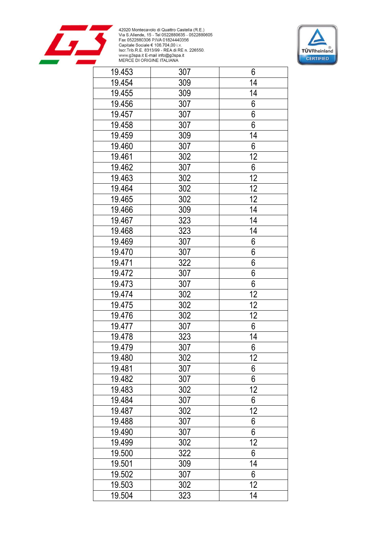



| 19.453 | 307 | 6                |
|--------|-----|------------------|
| 19.454 | 309 | 14               |
| 19.455 | 309 | 14               |
| 19.456 | 307 | 6                |
| 19.457 | 307 | 6                |
| 19.458 | 307 | 6                |
| 19.459 | 309 | 14               |
| 19.460 | 307 | 6                |
| 19.461 | 302 | $\overline{12}$  |
| 19.462 | 307 | $\boldsymbol{6}$ |
| 19.463 | 302 | $\overline{12}$  |
| 19.464 | 302 | 12               |
| 19.465 | 302 | $\overline{12}$  |
| 19.466 | 309 | 14               |
| 19.467 | 323 | 14               |
| 19.468 | 323 | 14               |
| 19.469 | 307 | 6                |
| 19.470 | 307 | 6                |
| 19.471 | 322 | 6                |
| 19.472 | 307 | $\overline{6}$   |
| 19.473 | 307 | 6                |
| 19.474 | 302 | 12               |
| 19.475 | 302 | 12               |
| 19.476 | 302 | 12               |
| 19.477 | 307 | 6                |
| 19.478 | 323 | 14               |
| 19.479 | 307 | 6                |
| 19.480 | 302 | 12               |
| 19.481 | 307 | 6                |
| 19.482 | 307 | 6                |
| 19.483 | 302 | $\overline{12}$  |
| 19.484 | 307 | 6                |
| 19.487 | 302 | $\overline{12}$  |
| 19.488 | 307 | 6                |
| 19.490 | 307 | 6                |
| 19.499 | 302 | 12               |
| 19.500 | 322 | 6                |
| 19.501 | 309 | 14               |
| 19.502 | 307 | 6                |
| 19.503 | 302 | 12               |
| 19.504 | 323 | 14               |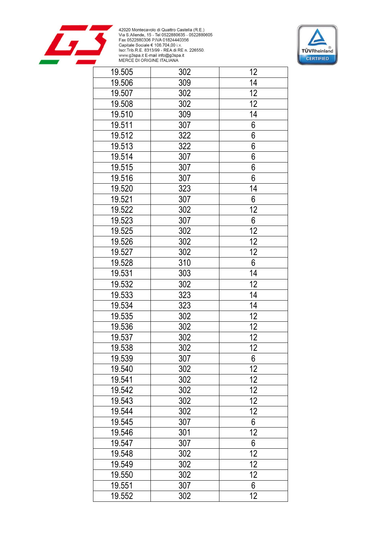



| 19.505 | 302 | 12              |
|--------|-----|-----------------|
| 19.506 | 309 | 14              |
| 19.507 | 302 | 12              |
| 19.508 | 302 | 12              |
| 19.510 | 309 | 14              |
| 19.511 | 307 | 6               |
| 19.512 | 322 | $\overline{6}$  |
| 19.513 | 322 | $\overline{6}$  |
| 19.514 | 307 | $\overline{6}$  |
| 19.515 | 307 | $\overline{6}$  |
| 19.516 | 307 | $\overline{6}$  |
| 19.520 | 323 | 14              |
| 19.521 | 307 | 6               |
| 19.522 | 302 | 12              |
| 19.523 | 307 | $6\phantom{a}$  |
| 19.525 | 302 | $\overline{12}$ |
| 19.526 | 302 | 12              |
| 19.527 | 302 | $\overline{12}$ |
| 19.528 | 310 | $\overline{6}$  |
| 19.531 | 303 | 14              |
| 19.532 | 302 | 12              |
| 19.533 | 323 | 14              |
| 19.534 | 323 | 14              |
| 19.535 | 302 | 12              |
| 19.536 | 302 | 12              |
| 19.537 | 302 | 12              |
| 19.538 | 302 | 12              |
| 19.539 | 307 | 6               |
| 19.540 | 302 | 12              |
| 19.541 | 302 | $\overline{12}$ |
| 19.542 | 302 | $\overline{12}$ |
| 19.543 | 302 | 12              |
| 19.544 | 302 | 12              |
| 19.545 | 307 | 6               |
| 19.546 | 301 | $\overline{12}$ |
| 19.547 | 307 | $6\phantom{.}$  |
| 19.548 | 302 | 12              |
| 19.549 | 302 | $\overline{12}$ |
| 19.550 | 302 | $\overline{12}$ |
| 19.551 | 307 | $6\phantom{.}$  |
| 19.552 | 302 | 12              |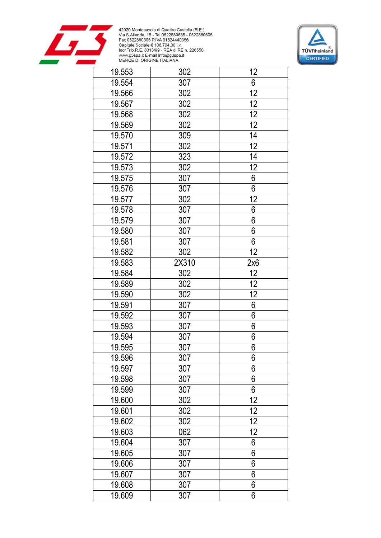



| 19.553 | 302   | 12              |
|--------|-------|-----------------|
| 19.554 | 307   | $6\,$           |
| 19.566 | 302   | $\overline{12}$ |
| 19.567 | 302   | 12              |
| 19.568 | 302   | 12              |
| 19.569 | 302   | 12              |
| 19.570 | 309   | 14              |
| 19.571 | 302   | 12              |
| 19.572 | 323   | 14              |
| 19.573 | 302   | 12              |
| 19.575 | 307   | 6               |
| 19.576 | 307   | $\overline{6}$  |
| 19.577 | 302   | 12              |
| 19.578 | 307   | 6               |
| 19.579 | 307   | 6               |
| 19.580 | 307   | 6               |
| 19.581 | 307   | 6               |
| 19.582 | 302   | 12              |
| 19.583 | 2X310 | 2x6             |
| 19.584 | 302   | 12              |
| 19.589 | 302   | 12              |
| 19.590 | 302   | 12              |
| 19.591 | 307   | 6               |
| 19.592 | 307   | 6               |
| 19.593 | 307   | 6               |
| 19.594 | 307   | 6               |
| 19.595 | 307   | 6               |
| 19.596 | 307   | 6               |
| 19.597 | 307   | 6               |
| 19.598 | 307   | 6               |
| 19.599 | 307   | 6               |
| 19.600 | 302   | 12              |
| 19.601 | 302   | 12              |
| 19.602 | 302   | 12              |
| 19.603 | 062   | 12              |
| 19.604 | 307   | 6               |
| 19.605 | 307   | 6               |
| 19.606 | 307   | 6               |
| 19.607 | 307   | 6               |
| 19.608 | 307   | 6               |
| 19.609 | 307   | 6               |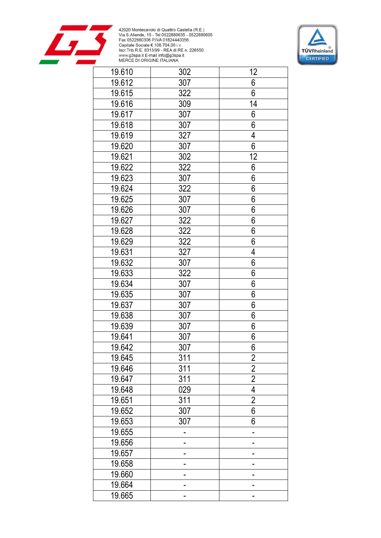



| 19.610 | 302 | 12              |
|--------|-----|-----------------|
| 19.612 | 307 | 6               |
| 19.615 | 322 | 6               |
| 19.616 | 309 | 14              |
| 19.617 | 307 | 6               |
| 19.618 | 307 | 6               |
| 19.619 | 327 | 4               |
| 19.620 | 307 | 6               |
| 19.621 | 302 | $1\overline{2}$ |
| 19.622 | 322 | 6               |
| 19.623 | 307 | 6               |
| 19.624 | 322 | $\overline{6}$  |
| 19.625 | 307 | 6               |
| 19.626 | 307 | 6               |
| 19.627 | 322 | 6               |
| 19.628 | 322 | 6               |
| 19.629 | 322 | 6               |
| 19.631 | 327 | 4               |
| 19.632 | 307 | 6               |
| 19.633 | 322 | $\overline{6}$  |
| 19.634 | 307 | 6               |
| 19.635 | 307 | 6               |
| 19.637 | 307 | 6               |
| 19.638 | 307 | 6               |
| 19.639 | 307 | 6               |
| 19.641 | 307 | 6               |
| 19.642 | 307 | 6               |
| 19.645 | 311 | 2               |
| 19.646 | 311 | $\overline{2}$  |
| 19.647 | 311 | $\overline{2}$  |
| 19.648 | 029 | $\overline{4}$  |
| 19.651 | 311 | $\overline{2}$  |
| 19.652 | 307 | $\overline{6}$  |
| 19.653 | 307 | 6               |
| 19.655 |     |                 |
| 19.656 |     |                 |
| 19.657 |     |                 |
| 19.658 |     |                 |
| 19.660 |     |                 |
| 19.664 |     |                 |
| 19.665 |     |                 |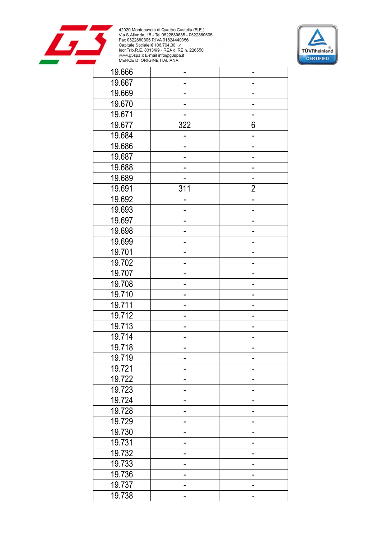



| 19.666 |     |                |
|--------|-----|----------------|
| 19.667 |     |                |
| 19.669 |     |                |
| 19.670 |     |                |
| 19.671 |     |                |
| 19.677 | 322 | 6              |
| 19.684 |     |                |
| 19.686 |     |                |
| 19.687 |     |                |
| 19.688 |     |                |
| 19.689 |     |                |
| 19.691 | 311 | $\overline{2}$ |
| 19.692 |     |                |
| 19.693 |     |                |
| 19.697 |     |                |
| 19.698 |     |                |
| 19.699 |     |                |
| 19.701 |     |                |
| 19.702 |     |                |
| 19.707 |     |                |
| 19.708 |     |                |
| 19.710 |     |                |
| 19.711 |     |                |
| 19.712 |     |                |
| 19.713 |     |                |
| 19.714 |     |                |
| 19.718 |     |                |
| 19.719 |     |                |
| 19.721 |     |                |
| 19.722 |     |                |
| 19.723 |     |                |
| 19.724 |     |                |
| 19.728 |     |                |
| 19.729 |     |                |
| 19.730 |     |                |
| 19.731 | -   |                |
| 19.732 |     |                |
| 19.733 | ۰   |                |
| 19.736 |     |                |
| 19.737 |     |                |
| 19.738 |     |                |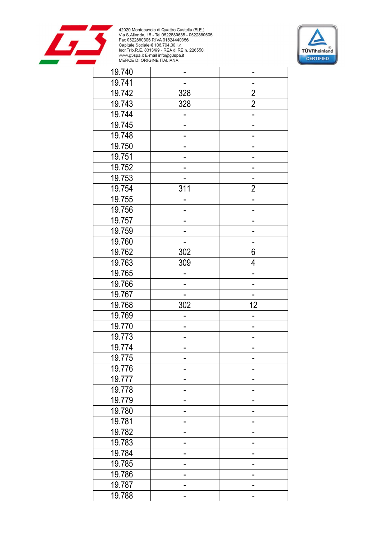



| 19.740 |                  |                |
|--------|------------------|----------------|
| 19.741 |                  |                |
| 19.742 | 328              | $\overline{2}$ |
| 19.743 | 328              | $\overline{2}$ |
| 19.744 |                  |                |
| 19.745 |                  |                |
| 19.748 |                  |                |
| 19.750 |                  |                |
| 19.751 |                  |                |
| 19.752 |                  |                |
| 19.753 |                  |                |
| 19.754 | 311              | $\overline{2}$ |
| 19.755 |                  |                |
| 19.756 |                  |                |
| 19.757 |                  |                |
| 19.759 |                  |                |
| 19.760 |                  |                |
| 19.762 | $\overline{302}$ | 6              |
| 19.763 | 309              | 4              |
| 19.765 |                  |                |
| 19.766 |                  |                |
| 19.767 |                  |                |
| 19.768 | 302              | 12             |
| 19.769 |                  |                |
| 19.770 |                  |                |
| 19.773 | -                |                |
| 19.774 |                  |                |
| 19.775 |                  |                |
| 19.776 |                  |                |
| 19.777 |                  |                |
| 19.778 |                  |                |
| 19.779 |                  |                |
| 19.780 |                  |                |
| 19.781 |                  |                |
| 19.782 |                  |                |
| 19.783 |                  |                |
| 19.784 |                  |                |
| 19.785 | -                |                |
| 19.786 |                  |                |
| 19.787 |                  |                |
| 19.788 |                  |                |
|        |                  |                |